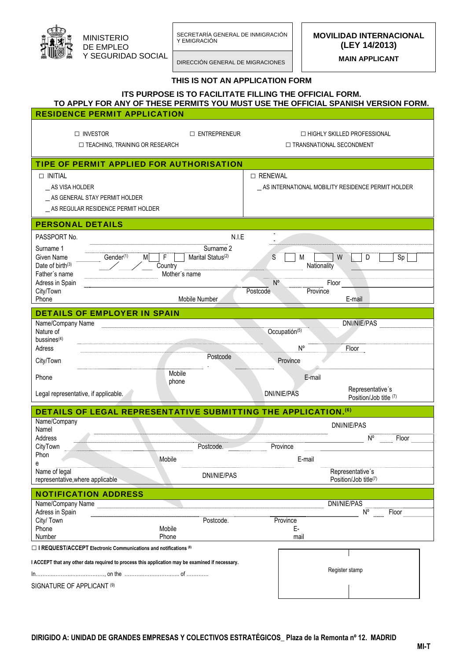| MINISTERIO         |
|--------------------|
| DE EMPLEO          |
| Y SEGURIDAD SOCIAL |

SECRETARÍA GENERAL DE INMIGRACIÓN Y EMIGRACIÓN MINISTERIO

DIRECCIÓN GENERAL DE MIGRACIONES

**MOVILIDAD INTERNACIONAL (LEY 14/2013)** 

**MAIN APPLICANT** 

## **THIS IS NOT AN APPLICATION FORM**

|                                                                                                                                                        | <b>ITS PURPOSE IS TO FACILITATE FILLING THE OFFICIAL FORM.</b>                                        |                              | TO APPLY FOR ANY OF THESE PERMITS YOU MUST USE THE OFFICIAL SPANISH VERSION FORM. |  |
|--------------------------------------------------------------------------------------------------------------------------------------------------------|-------------------------------------------------------------------------------------------------------|------------------------------|-----------------------------------------------------------------------------------|--|
| <b>RESIDENCE PERMIT APPLICATION</b>                                                                                                                    |                                                                                                       |                              |                                                                                   |  |
| $\Box$ INVESTOR<br>□ TEACHING, TRAINING OR RESEARCH                                                                                                    | $\Box$ ENTREPRENEUR                                                                                   |                              | $\Box$ HIGHLY SKILLED PROFESSIONAL<br>$\Box$ TRANSNATIONAL SECONDMENT             |  |
| TIPE OF PERMIT APPLIED FOR AUTHORISATION                                                                                                               |                                                                                                       |                              |                                                                                   |  |
| $\Box$ INITIAL<br>AS VISA HOLDER<br>_ AS GENERAL STAY PERMIT HOLDER<br>AS REGULAR RESIDENCE PERMIT HOLDER                                              |                                                                                                       | □ RENEWAL                    | AS INTERNATIONAL MOBILITY RESIDENCE PERMIT HOLDER                                 |  |
| <b>PERSONAL DETAILS</b>                                                                                                                                |                                                                                                       |                              |                                                                                   |  |
| PASSPORT No.<br>Surname 1<br>Gender <sup>(1)</sup><br>Given Name<br>M<br>Date of birth $(3)$<br>Father's name<br>Adress in Spain<br>City/Town<br>Phone | N.I.E<br>Surname 2<br>Marital Status <sup>(2)</sup><br>F<br>Country<br>Mother's name<br>Mobile Number | S<br>$N^{\circ}$<br>Postcode | M<br>W<br>D<br>Sp<br>Nationality<br>Floor<br>Province<br>E-mail                   |  |
| <b>DETAILS OF EMPLOYER IN SPAIN</b>                                                                                                                    |                                                                                                       |                              |                                                                                   |  |
| Name/Company Name<br>Nature of<br>bussines $(4)$<br>Adress<br>City/Town                                                                                | Postcode                                                                                              |                              | <b>DNI/NIE/PAS</b><br>Occupatión(5)<br>$N^{\circ}$<br>Floor<br>Province           |  |
| Phone                                                                                                                                                  | Mobile                                                                                                |                              | E-mail                                                                            |  |
| Legal representative, if applicable.                                                                                                                   | phone                                                                                                 | DNI/NIE/PAS                  | Representative's<br>Position/Job title (7)                                        |  |
| DETAILS OF LEGAL REPRESENTATIVE SUBMITTING THE APPLICATION. <sup>(6)</sup>                                                                             |                                                                                                       |                              |                                                                                   |  |
| Name/Company<br>Namel<br>Address                                                                                                                       |                                                                                                       |                              | <b>DNI/NIE/PAS</b><br>$\mathsf{N}^\mathsf{o}$<br>Floor                            |  |
| CityTown<br>Phon                                                                                                                                       | Postcode.                                                                                             | Province                     |                                                                                   |  |
| е                                                                                                                                                      | Mobile                                                                                                |                              | E-mail                                                                            |  |
| Name of legal<br>representative, where applicable                                                                                                      | DNI/NIE/PAS                                                                                           |                              | Representative's<br>Position/Job title(7)                                         |  |
| <b>NOTIFICATION ADDRESS</b><br>Name/Company Name<br>Adress in Spain<br>City/ Town<br>Phone<br>Number                                                   | Postcode.<br>Mobile<br>Phone                                                                          |                              | DNI/NIE/PAS<br>$N^{\circ}$<br>Floor<br>Province<br>E-<br>mail                     |  |
| $\Box$ I REQUEST/ACCEPT Electronic Communications and notifications (8)                                                                                |                                                                                                       |                              |                                                                                   |  |
| I ACCEPT that any other data required to process this application may be examined if necessary.<br>SIGNATURE OF APPLICANT (9)                          |                                                                                                       |                              | Register stamp                                                                    |  |